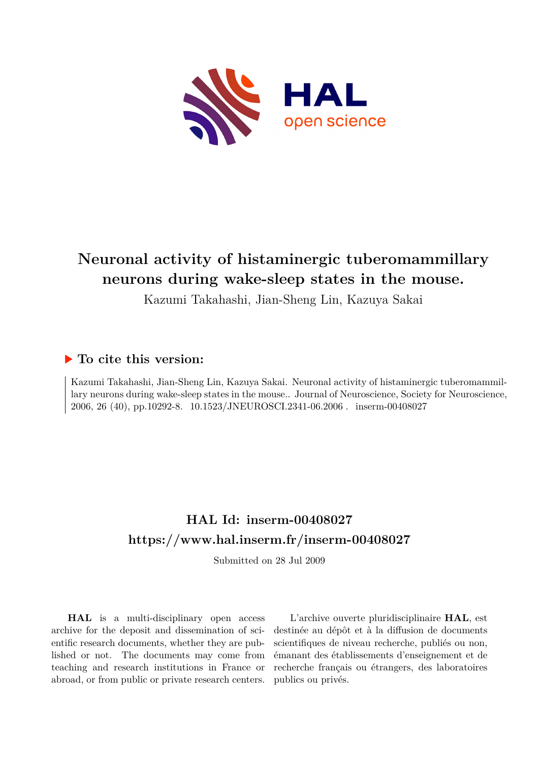

## **Neuronal activity of histaminergic tuberomammillary neurons during wake-sleep states in the mouse.**

Kazumi Takahashi, Jian-Sheng Lin, Kazuya Sakai

### **To cite this version:**

Kazumi Takahashi, Jian-Sheng Lin, Kazuya Sakai. Neuronal activity of histaminergic tuberomammillary neurons during wake-sleep states in the mouse.. Journal of Neuroscience, Society for Neuroscience, 2006, 26 (40), pp.10292-8. 10.1523/JNEUROSCI.2341-06.2006. inserm-00408027

### **HAL Id: inserm-00408027 <https://www.hal.inserm.fr/inserm-00408027>**

Submitted on 28 Jul 2009

**HAL** is a multi-disciplinary open access archive for the deposit and dissemination of scientific research documents, whether they are published or not. The documents may come from teaching and research institutions in France or abroad, or from public or private research centers.

L'archive ouverte pluridisciplinaire **HAL**, est destinée au dépôt et à la diffusion de documents scientifiques de niveau recherche, publiés ou non, émanant des établissements d'enseignement et de recherche français ou étrangers, des laboratoires publics ou privés.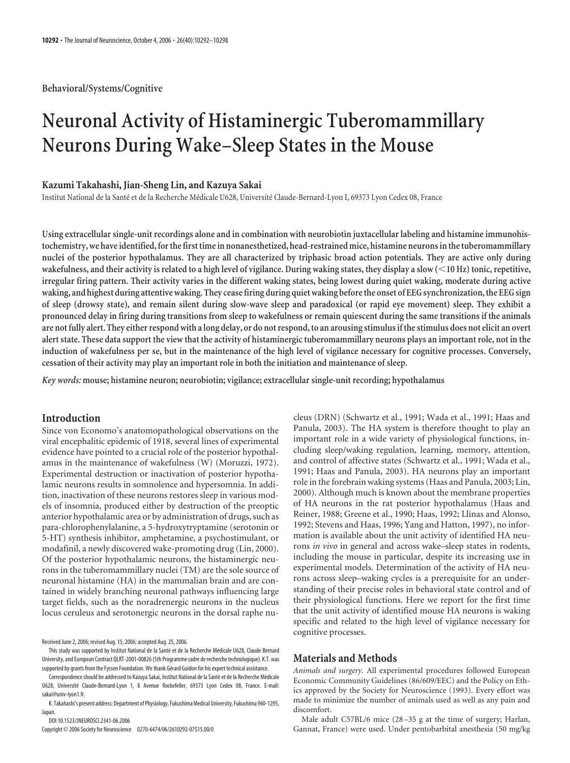**Behavioral/Systems/Cognitive**

# **Neuronal Activity of Histaminergic Tuberomammillary Neurons During Wake–Sleep States in the Mouse**

#### **Kazumi Takahashi, Jian-Sheng Lin, and Kazuya Sakai**

Institut National de la Santé et de la Recherche Médicale U628, Université Claude-Bernard-Lyon I, 69373 Lyon Cedex 08, France

**Using extracellular single-unit recordings alone and in combination with neurobiotin juxtacellular labeling and histamine immunohistochemistry, we have identified,forthefirsttime in nonanesthetized, head-restrained mice, histamine neurons inthetuberomammillary nuclei of the posterior hypothalamus. They are all characterized by triphasic broad action potentials. They are active only during wakefulness, and their activity is related to a high level of vigilance. During waking states, they display a slow (10 Hz) tonic, repetitive, irregular firing pattern. Their activity varies in the different waking states, being lowest during quiet waking, moderate during active waking, and highest during attentive waking. They ceasefiring during quiet waking beforethe onset of EEG synchronization,the EEG sign of sleep (drowsy state), and remain silent during slow-wave sleep and paradoxical (or rapid eye movement) sleep. They exhibit a pronounced delay in firing during transitions from sleep to wakefulness or remain quiescent during the same transitions if the animals** are not fully alert. They either respond with a long delay, or do not respond, to an arousing stimulus if the stimulus does not elicit an overt **alert state. These data support the view that the activity of histaminergic tuberomammillary neurons plays an important role, not in the induction of wakefulness per se, but in the maintenance of the high level of vigilance necessary for cognitive processes. Conversely, cessation of their activity may play an important role in both the initiation and maintenance of sleep.**

*Key words:* **mouse; histamine neuron; neurobiotin; vigilance; extracellular single-unit recording; hypothalamus**

#### **Introduction**

Since von Economo's anatomopathological observations on the viral encephalitic epidemic of 1918, several lines of experimental evidence have pointed to a crucial role of the posterior hypothalamus in the maintenance of wakefulness (W) (Moruzzi, 1972). Experimental destruction or inactivation of posterior hypothalamic neurons results in somnolence and hypersomnia. In addition, inactivation of these neurons restores sleep in various models of insomnia, produced either by destruction of the preoptic anterior hypothalamic area or by administration of drugs, such as para-chlorophenylalanine, a 5-hydroxytryptamine (serotonin or 5-HT) synthesis inhibitor, amphetamine, a psychostimulant, or modafinil, a newly discovered wake-promoting drug (Lin, 2000). Of the posterior hypothalamic neurons, the histaminergic neurons in the tuberomammillary nuclei (TM) are the sole source of neuronal histamine (HA) in the mammalian brain and are contained in widely branching neuronal pathways influencing large target fields, such as the noradrenergic neurons in the nucleus locus ceruleus and serotonergic neurons in the dorsal raphe nu-

Received June 2, 2006; revised Aug. 15, 2006; accepted Aug. 25, 2006.

DOI:10.1523/JNEUROSCI.2341-06.2006

Copyright © 2006 Society for Neuroscience 0270-6474/06/2610292-07\$15.00/0

cleus (DRN) (Schwartz et al., 1991; Wada et al., 1991; Haas and Panula, 2003). The HA system is therefore thought to play an important role in a wide variety of physiological functions, including sleep/waking regulation, learning, memory, attention, and control of affective states (Schwartz et al., 1991; Wada et al., 1991; Haas and Panula, 2003). HA neurons play an important role in the forebrain waking systems (Haas and Panula, 2003; Lin, 2000). Although much is known about the membrane properties of HA neurons in the rat posterior hypothalamus (Haas and Reiner, 1988; Greene et al., 1990; Haas, 1992; Llinas and Alonso, 1992; Stevens and Haas, 1996; Yang and Hatton, 1997), no information is available about the unit activity of identified HA neurons *in vivo* in general and across wake–sleep states in rodents, including the mouse in particular, despite its increasing use in experimental models. Determination of the activity of HA neurons across sleep–waking cycles is a prerequisite for an understanding of their precise roles in behavioral state control and of their physiological functions. Here we report for the first time that the unit activity of identified mouse HA neurons is waking specific and related to the high level of vigilance necessary for cognitive processes.

#### **Materials and Methods**

*Animals and surgery.* All experimental procedures followed European Economic Community Guidelines (86/609/EEC) and the Policy on Ethics approved by the Society for Neuroscience (1993). Every effort was made to minimize the number of animals used as well as any pain and discomfort.

Male adult C57BL/6 mice (28 –35 g at the time of surgery; Harlan, Gannat, France) were used. Under pentobarbital anesthesia (50 mg/kg

This study was supported by Institut National de la Santé et de la Recherche Médicale U628, Claude Bernard University, and European Contract QLRT-2001-00826 (5th Programme cadre de recherche technologique). K.T. was supported by grants from the Fyssen Foundation. We thank Gérard Guidon for his expert technical assistance.

Correspondence should be addressed to Kazuya Sakai, Institut National de la Santé et de la Recherche Médicale U628, Université Claude-Bernard-Lyon 1, 8 Avenue Rockefeller, 69373 Lyon Cedex 08, France. E-mail: sakai@univ-lyon1.fr.

K. Takahashi's present address: Department of Physiology, Fukushima Medical University, Fukushima 960-1295, Japan.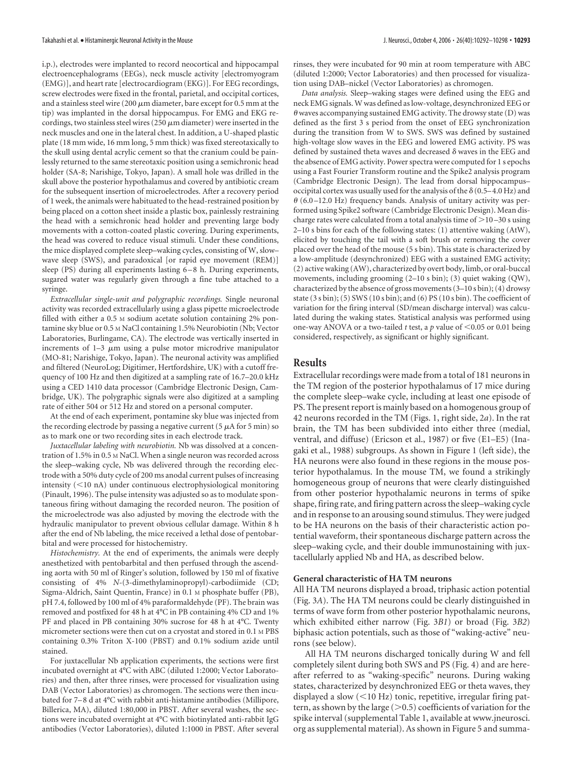i.p.), electrodes were implanted to record neocortical and hippocampal electroencephalograms (EEGs), neck muscle activity [electromyogram (EMG)], and heart rate [electrocardiogram (EKG)]. For EEG recordings, screw electrodes were fixed in the frontal, parietal, and occipital cortices, and a stainless steel wire (200  $\mu$ m diameter, bare except for 0.5 mm at the tip) was implanted in the dorsal hippocampus. For EMG and EKG recordings, two stainless steel wires (250  $\mu$ m diameter) were inserted in the neck muscles and one in the lateral chest. In addition, a U-shaped plastic plate (18 mm wide, 16 mm long, 5 mm thick) was fixed stereotaxically to the skull using dental acrylic cement so that the cranium could be painlessly returned to the same stereotaxic position using a semichronic head holder (SA-8; Narishige, Tokyo, Japan). A small hole was drilled in the skull above the posterior hypothalamus and covered by antibiotic cream for the subsequent insertion of microelectrodes. After a recovery period of 1 week, the animals were habituated to the head-restrained position by being placed on a cotton sheet inside a plastic box, painlessly restraining the head with a semichronic head holder and preventing large body movements with a cotton-coated plastic covering. During experiments, the head was covered to reduce visual stimuli. Under these conditions, the mice displayed complete sleep–waking cycles, consisting of W, slow– wave sleep (SWS), and paradoxical [or rapid eye movement (REM)] sleep (PS) during all experiments lasting 6-8 h. During experiments, sugared water was regularly given through a fine tube attached to a syringe.

*Extracellular single-unit and polygraphic recordings.* Single neuronal activity was recorded extracellularly using a glass pipette microelectrode filled with either a 0.5 M sodium acetate solution containing 2% pontamine sky blue or 0.5 M NaCl containing 1.5% Neurobiotin (Nb; Vector Laboratories, Burlingame, CA). The electrode was vertically inserted in increments of  $1-3$   $\mu$ m using a pulse motor microdrive manipulator (MO-81; Narishige, Tokyo, Japan). The neuronal activity was amplified and filtered (NeuroLog; Digitimer, Hertfordshire, UK) with a cutoff frequency of 100 Hz and then digitized at a sampling rate of 16.7–20.0 kHz using a CED 1410 data processor (Cambridge Electronic Design, Cambridge, UK). The polygraphic signals were also digitized at a sampling rate of either 504 or 512 Hz and stored on a personal computer.

At the end of each experiment, pontamine sky blue was injected from the recording electrode by passing a negative current (5  $\mu$ A for 5 min) so as to mark one or two recording sites in each electrode track.

*Juxtacellular labeling with neurobiotin.* Nb was dissolved at a concentration of 1.5% in 0.5 M NaCl. When a single neuron was recorded across the sleep–waking cycle, Nb was delivered through the recording electrode with a 50% duty cycle of 200 ms anodal current pulses of increasing intensity  $(<10$  nA) under continuous electrophysiological monitoring (Pinault, 1996). The pulse intensity was adjusted so as to modulate spontaneous firing without damaging the recorded neuron. The position of the microelectrode was also adjusted by moving the electrode with the hydraulic manipulator to prevent obvious cellular damage. Within 8 h after the end of Nb labeling, the mice received a lethal dose of pentobarbital and were processed for histochemistry.

*Histochemistry.* At the end of experiments, the animals were deeply anesthetized with pentobarbital and then perfused through the ascending aorta with 50 ml of Ringer's solution, followed by 150 ml of fixative consisting of 4% *N-*(3-dimethylaminopropyl)-carbodiimide (CD; Sigma-Aldrich, Saint Quentin, France) in 0.1 M phosphate buffer (PB), pH 7.4, followed by 100 ml of 4% paraformaldehyde (PF). The brain was removed and postfixed for 48 h at 4°C in PB containing 4% CD and 1% PF and placed in PB containing 30% sucrose for 48 h at 4°C. Twenty micrometer sections were then cut on a cryostat and stored in 0.1 M PBS containing 0.3% Triton X-100 (PBST) and 0.1% sodium azide until stained.

For juxtacellular Nb application experiments, the sections were first incubated overnight at 4°C with ABC (diluted 1:2000; Vector Laboratories) and then, after three rinses, were processed for visualization using DAB (Vector Laboratories) as chromogen. The sections were then incubated for 7–8 d at 4°C with rabbit anti-histamine antibodies (Millipore, Billerica, MA), diluted 1:80,000 in PBST. After several washes, the sections were incubated overnight at 4°C with biotinylated anti-rabbit IgG antibodies (Vector Laboratories), diluted 1:1000 in PBST. After several

rinses, they were incubated for 90 min at room temperature with ABC (diluted 1:2000; Vector Laboratories) and then processed for visualization using DAB–nickel (Vector Laboratories) as chromogen.

*Data analysis.* Sleep–waking stages were defined using the EEG and neck EMG signals.W was defined as low-voltage, desynchronized EEG or  $\theta$  waves accompanying sustained EMG activity. The drowsy state (D) was defined as the first 3 s period from the onset of EEG synchronization during the transition from W to SWS. SWS was defined by sustained high-voltage slow waves in the EEG and lowered EMG activity. PS was defined by sustained theta waves and decreased  $\delta$  waves in the EEG and the absence of EMG activity. Power spectra were computed for 1 s epochs using a Fast Fourier Transform routine and the Spike2 analysis program (Cambridge Electronic Design). The lead from dorsal hippocampus– occipital cortex was usually used for the analysis of the  $\delta (0.5-4.0 \text{ Hz})$  and  $\theta$  (6.0–12.0 Hz) frequency bands. Analysis of unitary activity was performed using Spike2 software (Cambridge Electronic Design). Mean discharge rates were calculated from a total analysis time of  $>$  10–30 s using 2–10 s bins for each of the following states: (1) attentive waking (AtW), elicited by touching the tail with a soft brush or removing the cover placed over the head of the mouse (5 s bin). This state is characterized by a low-amplitude (desynchronized) EEG with a sustained EMG activity; (2) active waking (AW), characterized by overt body, limb, or oral-buccal movements, including grooming (2–10 s bin); (3) quiet waking (QW), characterized by the absence of gross movements (3–10 s bin); (4) drowsy state (3 s bin); (5) SWS (10 s bin); and (6) PS (10 s bin). The coefficient of variation for the firing interval (SD/mean discharge interval) was calculated during the waking states. Statistical analysis was performed using one-way ANOVA or a two-tailed  $t$  test, a  $p$  value of  $\leq 0.05$  or 0.01 being considered, respectively, as significant or highly significant.

#### **Results**

Extracellular recordings were made from a total of 181 neurons in the TM region of the posterior hypothalamus of 17 mice during the complete sleep–wake cycle, including at least one episode of PS. The present report is mainly based on a homogenous group of 42 neurons recorded in the TM (Figs. 1, right side, 2*a*). In the rat brain, the TM has been subdivided into either three (medial, ventral, and diffuse) (Ericson et al., 1987) or five (E1–E5) (Inagaki et al., 1988) subgroups. As shown in Figure 1 (left side), the HA neurons were also found in these regions in the mouse posterior hypothalamus. In the mouse TM, we found a strikingly homogeneous group of neurons that were clearly distinguished from other posterior hypothalamic neurons in terms of spike shape, firing rate, and firing pattern across the sleep–waking cycle and in response to an arousing sound stimulus. They were judged to be HA neurons on the basis of their characteristic action potential waveform, their spontaneous discharge pattern across the sleep–waking cycle, and their double immunostaining with juxtacellularly applied Nb and HA, as described below.

#### **General characteristic of HA TM neurons**

All HA TM neurons displayed a broad, triphasic action potential (Fig. 3*A*). The HA TM neurons could be clearly distinguished in terms of wave form from other posterior hypothalamic neurons, which exhibited either narrow (Fig. 3*B1*) or broad (Fig. 3*B2*) biphasic action potentials, such as those of "waking-active" neurons (see below).

All HA TM neurons discharged tonically during W and fell completely silent during both SWS and PS (Fig. 4) and are hereafter referred to as "waking-specific" neurons. During waking states, characterized by desynchronized EEG or theta waves, they displayed a slow  $(<10$  Hz) tonic, repetitive, irregular firing pattern, as shown by the large  $(>$  0.5) coefficients of variation for the spike interval (supplemental Table 1, available at www.jneurosci. org as supplemental material). As shown in Figure 5 and summa-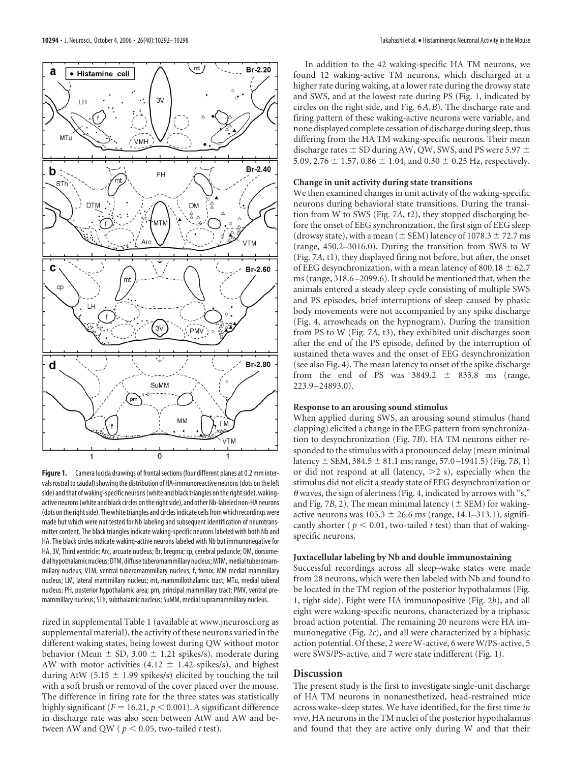

**Figure 1.** Camera lucida drawings of frontal sections (four different planes at 0.2 mm intervals rostral to caudal) showing the distribution of HA-immunoreactive neurons (dots on the left side) and that of waking-specific neurons (white and black triangles on the right side), wakingactive neurons (white and black circles on the right side), and other Nb-labeled non-HA neurons (dots on the right side). The white triangles and circles indicate cells from which recordings were made but which were not tested for Nb labeling and subsequent identification of neurotransmitter content. The black triangles indicate waking-specific neurons labeled with both Nb and HA. The black circles indicate waking-active neurons labeled with Nb but immunonegative for HA. 3V, Third ventricle; Arc, arcuate nucleus; Br, bregma; cp, cerebral peduncle; DM, dorsomedial hypothalamic nucleus; DTM, diffuse tuberomammillary nucleus; MTM, medial tuberomammillary nucleus; VTM, ventral tuberomammillary nucleus; f, fornix; MM medial mammillary nucleus; LM, lateral mammillary nucleus; mt, mammillothalamic tract; MTu, medial tuberal nucleus; PH, posterior hypothalamic area; pm, principal mammillary tract; PMV, ventral premammillary nucleus; STh, subthalamic nucleus; SuMM, medial supramammillary nucleus.

rized in supplemental Table 1 (available at www.jneurosci.org as supplemental material), the activity of these neurons varied in the different waking states, being lowest during QW without motor behavior (Mean  $\pm$  SD, 3.00  $\pm$  1.21 spikes/s), moderate during AW with motor activities (4.12  $\pm$  1.42 spikes/s), and highest during AtW (5.15  $\pm$  1.99 spikes/s) elicited by touching the tail with a soft brush or removal of the cover placed over the mouse. The difference in firing rate for the three states was statistically highly significant ( $F = 16.21$ ,  $p < 0.001$ ). A significant difference in discharge rate was also seen between AtW and AW and between AW and QW ( $p < 0.05$ , two-tailed *t* test).

In addition to the 42 waking-specific HA TM neurons, we found 12 waking-active TM neurons, which discharged at a higher rate during waking, at a lower rate during the drowsy state and SWS, and at the lowest rate during PS (Fig. 1, indicated by circles on the right side, and Fig. 6*A*,*B*). The discharge rate and firing pattern of these waking-active neurons were variable, and none displayed complete cessation of discharge during sleep, thus differing from the HA TM waking-specific neurons. Their mean discharge rates  $\pm$  SD during AW, QW, SWS, and PS were 5.97  $\pm$ 5.09, 2.76  $\pm$  1.57, 0.86  $\pm$  1.04, and 0.30  $\pm$  0.25 Hz, respectively.

#### **Change in unit activity during state transitions**

We then examined changes in unit activity of the waking-specific neurons during behavioral state transitions. During the transition from W to SWS (Fig. 7*A*, t2), they stopped discharging before the onset of EEG synchronization, the first sign of EEG sleep (drowsy state), with a mean ( $\pm$  SEM) latency of 1078.3  $\pm$  72.7 ms (range, 450.2–3016.0). During the transition from SWS to W (Fig. 7*A*, t1), they displayed firing not before, but after, the onset of EEG desynchronization, with a mean latency of 800.18  $\pm$  62.7 ms (range, 318.6 –2099.6). It should be mentioned that, when the animals entered a steady sleep cycle consisting of multiple SWS and PS episodes, brief interruptions of sleep caused by phasic body movements were not accompanied by any spike discharge (Fig. 4, arrowheads on the hypnogram). During the transition from PS to W (Fig. 7*A*, t3), they exhibited unit discharges soon after the end of the PS episode, defined by the interruption of sustained theta waves and the onset of EEG desynchronization (see also Fig. 4). The mean latency to onset of the spike discharge from the end of PS was  $3849.2 \pm 833.8$  ms (range, 223.9 –24893.0).

#### **Response to an arousing sound stimulus**

When applied during SWS, an arousing sound stimulus (hand clapping) elicited a change in the EEG pattern from synchronization to desynchronization (Fig. 7*B*). HA TM neurons either responded to the stimulus with a pronounced delay (mean minimal latency  $\pm$  SEM, 384.5  $\pm$  81.1 ms; range, 57.0–1941.5) (Fig. 7*B*, 1) or did not respond at all (latency,  $>2$  s), especially when the stimulus did not elicit a steady state of EEG desynchronization or  $\theta$  waves, the sign of alertness (Fig. 4, indicated by arrows with "s," and Fig. 7*B*, 2). The mean minimal latency ( $\pm$  SEM) for wakingactive neurons was  $105.3 \pm 26.6$  ms (range, 14.1–313.1), significantly shorter ( $p < 0.01$ , two-tailed *t* test) than that of wakingspecific neurons.

#### **Juxtacellular labeling by Nb and double immunostaining**

Successful recordings across all sleep–wake states were made from 28 neurons, which were then labeled with Nb and found to be located in the TM region of the posterior hypothalamus (Fig. 1, right side). Eight were HA immunopositive (Fig. 2*b*), and all eight were waking-specific neurons, characterized by a triphasic broad action potential. The remaining 20 neurons were HA immunonegative (Fig. 2*c*), and all were characterized by a biphasic action potential. Of these, 2 were W-active, 6 were W/PS-active, 5 were SWS/PS-active, and 7 were state indifferent (Fig. 1).

#### **Discussion**

The present study is the first to investigate single-unit discharge of HA TM neurons in nonanesthetized, head-restrained mice across wake–sleep states. We have identified, for the first time *in vivo*, HA neurons in the TM nuclei of the posterior hypothalamus and found that they are active only during W and that their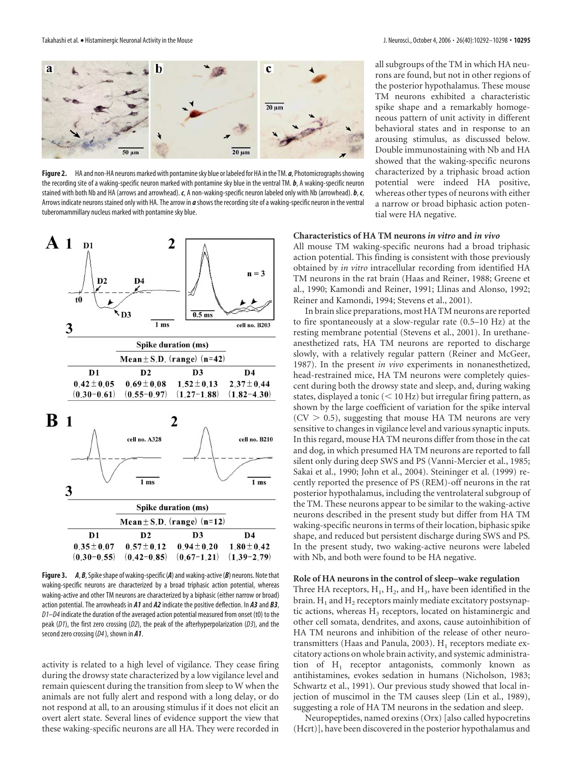

Figure 2. HA and non-HA neurons marked with pontamine sky blue or labeled for HA in the TM. *a*, Photomicrographs showing the recording site of a waking-specific neuron marked with pontamine sky blue in the ventral TM. *b*, A waking-specific neuron stained with both Nb and HA (arrows and arrowhead). *c*, A non-waking-specific neuron labeled only with Nb (arrowhead). *b*, *c*, Arrows indicate neurons stained only with HA. The arrow in *a* shows the recording site of a waking-specific neuron in the ventral tuberomammillary nucleus marked with pontamine sky blue.



**Figure 3.** *A*, *B*, Spikeshape of waking-specific (*A*) and waking-active (*B*) neurons. Note that waking-specific neurons are characterized by a broad triphasic action potential, whereas waking-active and other TM neurons are characterized by a biphasic (either narrow or broad) action potential. The arrowheads in *A1* and *A2* indicate the positive deflection. In *A3* and *B3*, *D1–D4*indicate the duration of the averaged action potential measured from onset (t0) to the peak (*D1*), the first zero crossing (*D2*), the peak of the afterhyperpolarization (*D3*), and the second zero crossing (*D4*), shown in *A1*.

activity is related to a high level of vigilance. They cease firing during the drowsy state characterized by a low vigilance level and remain quiescent during the transition from sleep to W when the animals are not fully alert and respond with a long delay, or do not respond at all, to an arousing stimulus if it does not elicit an overt alert state. Several lines of evidence support the view that these waking-specific neurons are all HA. They were recorded in

all subgroups of the TM in which HA neurons are found, but not in other regions of the posterior hypothalamus. These mouse TM neurons exhibited a characteristic spike shape and a remarkably homogeneous pattern of unit activity in different behavioral states and in response to an arousing stimulus, as discussed below. Double immunostaining with Nb and HA showed that the waking-specific neurons characterized by a triphasic broad action potential were indeed HA positive, whereas other types of neurons with either a narrow or broad biphasic action potential were HA negative.

#### **Characteristics of HA TM neurons** *in vitro* **and** *in vivo*

All mouse TM waking-specific neurons had a broad triphasic action potential. This finding is consistent with those previously obtained by *in vitro* intracellular recording from identified HA TM neurons in the rat brain (Haas and Reiner, 1988; Greene et al., 1990; Kamondi and Reiner, 1991; Llinas and Alonso, 1992; Reiner and Kamondi, 1994; Stevens et al., 2001).

In brain slice preparations, most HA TM neurons are reported to fire spontaneously at a slow-regular rate (0.5–10 Hz) at the resting membrane potential (Stevens et al., 2001). In urethaneanesthetized rats, HA TM neurons are reported to discharge slowly, with a relatively regular pattern (Reiner and McGeer, 1987). In the present *in vivo* experiments in nonanesthetized, head-restrained mice, HA TM neurons were completely quiescent during both the drowsy state and sleep, and, during waking states, displayed a tonic  $(< 10 Hz$ ) but irregular firing pattern, as shown by the large coefficient of variation for the spike interval  $(CV > 0.5)$ , suggesting that mouse HA TM neurons are very sensitive to changes in vigilance level and various synaptic inputs. In this regard, mouse HA TM neurons differ from those in the cat and dog, in which presumed HA TM neurons are reported to fall silent only during deep SWS and PS (Vanni-Mercier et al., 1985; Sakai et al., 1990; John et al., 2004). Steininger et al. (1999) recently reported the presence of PS (REM)-off neurons in the rat posterior hypothalamus, including the ventrolateral subgroup of the TM. These neurons appear to be similar to the waking-active neurons described in the present study but differ from HA TM waking-specific neurons in terms of their location, biphasic spike shape, and reduced but persistent discharge during SWS and PS. In the present study, two waking-active neurons were labeled with Nb, and both were found to be HA negative.

#### **Role of HA neurons in the control of sleep–wake regulation**

Three HA receptors,  $H_1$ ,  $H_2$ , and  $H_3$ , have been identified in the brain.  $H_1$  and  $H_2$  receptors mainly mediate excitatory postsynaptic actions, whereas  $H_3$  receptors, located on histaminergic and other cell somata, dendrites, and axons, cause autoinhibition of HA TM neurons and inhibition of the release of other neurotransmitters (Haas and Panula, 2003).  $H<sub>1</sub>$  receptors mediate excitatory actions on whole brain activity, and systemic administration of  $H_1$  receptor antagonists, commonly known as antihistamines, evokes sedation in humans (Nicholson, 1983; Schwartz et al., 1991). Our previous study showed that local injection of muscimol in the TM causes sleep (Lin et al., 1989), suggesting a role of HA TM neurons in the sedation and sleep.

Neuropeptides, named orexins (Orx) [also called hypocretins (Hcrt)], have been discovered in the posterior hypothalamus and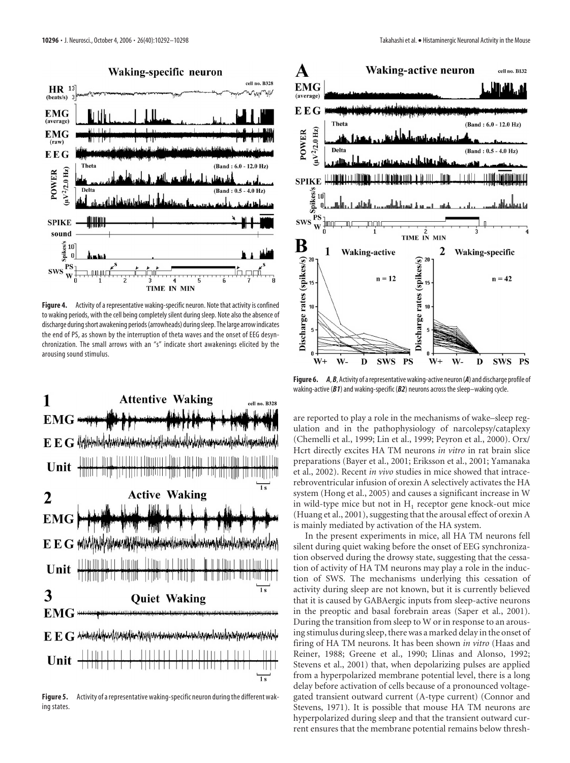

**Figure 4.** Activity of a representative waking-specific neuron. Note that activity is confined to waking periods, with the cell being completely silent during sleep. Note also the absence of discharge during short awakening periods (arrowheads) during sleep. The large arrow indicates the end of PS, as shown by the interruption of theta waves and the onset of EEG desynchronization. The small arrows with an "s" indicate short awakenings elicited by the arousing sound stimulus.



**Figure 5.** Activity of a representative waking-specific neuron during the different waking states.



**Figure 6.** *A*,*B*, Activity of arepresentative waking-active neuron(*A*) and discharge profile of waking-active (*B1*) and waking-specific (*B2*) neurons across the sleep–waking cycle.

are reported to play a role in the mechanisms of wake–sleep regulation and in the pathophysiology of narcolepsy/cataplexy (Chemelli et al., 1999; Lin et al., 1999; Peyron et al., 2000). Orx/ Hcrt directly excites HA TM neurons *in vitro* in rat brain slice preparations (Bayer et al., 2001; Eriksson et al., 2001; Yamanaka et al., 2002). Recent *in vivo* studies in mice showed that intracerebroventricular infusion of orexin A selectively activates the HA system (Hong et al., 2005) and causes a significant increase in W in wild-type mice but not in  $H<sub>1</sub>$  receptor gene knock-out mice (Huang et al., 2001), suggesting that the arousal effect of orexin A is mainly mediated by activation of the HA system.

In the present experiments in mice, all HA TM neurons fell silent during quiet waking before the onset of EEG synchronization observed during the drowsy state, suggesting that the cessation of activity of HA TM neurons may play a role in the induction of SWS. The mechanisms underlying this cessation of activity during sleep are not known, but it is currently believed that it is caused by GABAergic inputs from sleep-active neurons in the preoptic and basal forebrain areas (Saper et al., 2001). During the transition from sleep to W or in response to an arousing stimulus during sleep, there was a marked delay in the onset of firing of HA TM neurons. It has been shown *in vitro* (Haas and Reiner, 1988; Greene et al., 1990; Llinas and Alonso, 1992; Stevens et al., 2001) that, when depolarizing pulses are applied from a hyperpolarized membrane potential level, there is a long delay before activation of cells because of a pronounced voltagegated transient outward current (A-type current) (Connor and Stevens, 1971). It is possible that mouse HA TM neurons are hyperpolarized during sleep and that the transient outward current ensures that the membrane potential remains below thresh-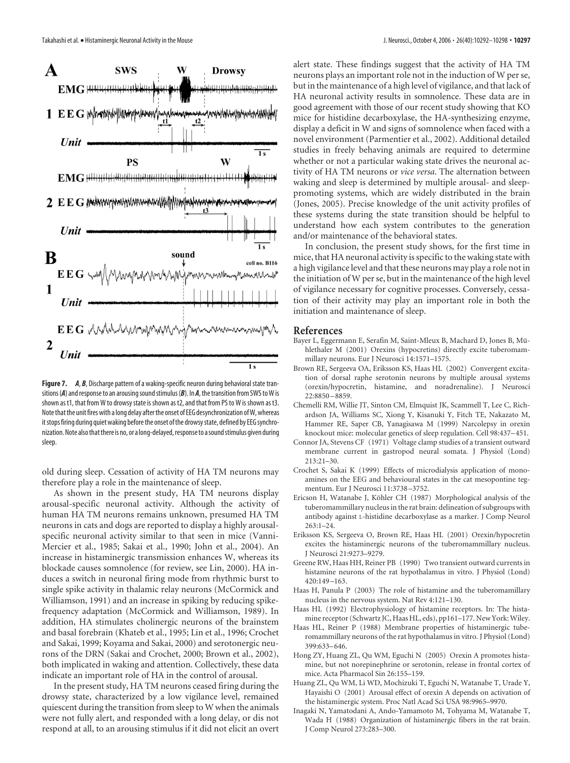

**Figure 7.** *A*, *B*, Discharge pattern of a waking-specific neuron during behavioral state transitions (A) and response to an arousing sound stimulus (B). In A, the transition from SWS to W is shown as t1, that from W to drowsy state is shown as t2, and that from PS to W is shown as t3. Note that the unit fires with a long delay after the onset of EEG desynchronization of W, whereas it stops firing during quiet waking before the onset of the drowsy state, defined by EEG synchronization. Note also that there is no, or a long-delayed, response to a sound stimulus given during sleep.

old during sleep. Cessation of activity of HA TM neurons may therefore play a role in the maintenance of sleep.

As shown in the present study, HA TM neurons display arousal-specific neuronal activity. Although the activity of human HA TM neurons remains unknown, presumed HA TM neurons in cats and dogs are reported to display a highly arousalspecific neuronal activity similar to that seen in mice (Vanni-Mercier et al., 1985; Sakai et al., 1990; John et al., 2004). An increase in histaminergic transmission enhances W, whereas its blockade causes somnolence (for review, see Lin, 2000). HA induces a switch in neuronal firing mode from rhythmic burst to single spike activity in thalamic relay neurons (McCormick and Williamson, 1991) and an increase in spiking by reducing spikefrequency adaptation (McCormick and Williamson, 1989). In addition, HA stimulates cholinergic neurons of the brainstem and basal forebrain (Khateb et al., 1995; Lin et al., 1996; Crochet and Sakai, 1999; Koyama and Sakai, 2000) and serotonergic neurons of the DRN (Sakai and Crochet, 2000; Brown et al., 2002), both implicated in waking and attention. Collectively, these data indicate an important role of HA in the control of arousal.

In the present study, HA TM neurons ceased firing during the drowsy state, characterized by a low vigilance level, remained quiescent during the transition from sleep to W when the animals were not fully alert, and responded with a long delay, or dis not respond at all, to an arousing stimulus if it did not elicit an overt

alert state. These findings suggest that the activity of HA TM neurons plays an important role not in the induction of W per se, but in the maintenance of a high level of vigilance, and that lack of HA neuronal activity results in somnolence. These data are in good agreement with those of our recent study showing that KO mice for histidine decarboxylase, the HA-synthesizing enzyme, display a deficit in W and signs of somnolence when faced with a novel environment (Parmentier et al., 2002). Additional detailed studies in freely behaving animals are required to determine whether or not a particular waking state drives the neuronal activity of HA TM neurons or *vice versa*. The alternation between waking and sleep is determined by multiple arousal- and sleeppromoting systems, which are widely distributed in the brain (Jones, 2005). Precise knowledge of the unit activity profiles of these systems during the state transition should be helpful to understand how each system contributes to the generation and/or maintenance of the behavioral states.

In conclusion, the present study shows, for the first time in mice, that HA neuronal activity is specific to the waking state with a high vigilance level and that these neurons may play a role not in the initiation of W per se, but in the maintenance of the high level of vigilance necessary for cognitive processes. Conversely, cessation of their activity may play an important role in both the initiation and maintenance of sleep.

#### **References**

- Bayer L, Eggermann E, Serafin M, Saint-Mleux B, Machard D, Jones B, Mühlethaler M (2001) Orexins (hypocretins) directly excite tuberomammillary neurons. Eur J Neurosci 14:1571–1575.
- Brown RE, Sergeeva OA, Eriksson KS, Haas HL (2002) Convergent excitation of dorsal raphe serotonin neurons by multiple arousal systems (orexin/hypocretin, histamine, and noradrenaline). J Neurosci 22:8850 –8859.
- Chemelli RM, Willie JT, Sinton CM, Elmquist JK, Scammell T, Lee C, Richardson JA, Williams SC, Xiong Y, Kisanuki Y, Fitch TE, Nakazato M, Hammer RE, Saper CB, Yanagisawa M (1999) Narcolepsy in orexin knockout mice: molecular genetics of sleep regulation. Cell 98:437–451.
- Connor JA, Stevens CF (1971) Voltage clamp studies of a transient outward membrane current in gastropod neural somata. J Physiol (Lond) 213:21–30.
- Crochet S, Sakai K (1999) Effects of microdialysis application of monoamines on the EEG and behavioural states in the cat mesopontine tegmentum. Eur J Neurosci 11:3738 –3752.
- Ericson H, Watanabe J, Köhler CH (1987) Morphological analysis of the tuberomammillary nucleus in the rat brain: delineation of subgroups with antibody against L-histidine decarboxylase as a marker. J Comp Neurol  $263:1 - 24$ .
- Eriksson KS, Sergeeva O, Brown RE, Haas HL (2001) Orexin/hypocretin excites the histaminergic neurons of the tuberomammillary nucleus. J Neurosci 21:9273–9279.
- Greene RW, Haas HH, Reiner PB (1990) Two transient outward currents in histamine neurons of the rat hypothalamus in vitro. J Physiol (Lond)  $420:149 - 163$ .
- Haas H, Panula P (2003) The role of histamine and the tuberomamillary nucleus in the nervous system. Nat Rev 4:121–130.
- Haas HL (1992) Electrophysiology of histamine receptors. In: The histamine receptor (Schwartz JC, Haas HL, eds), pp161-177. New York: Wiley.
- Haas HL, Reiner P (1988) Membrane properties of histaminergic tuberomammillary neurons of the rat hypothalamus in vitro*.* J Physiol (Lond) 399:633–646.
- Hong ZY, Huang ZL, Qu WM, Eguchi N (2005) Orexin A promotes histamine, but not norepinephrine or serotonin, release in frontal cortex of mice. Acta Pharmacol Sin 26:155–159.
- Huang ZL, Qu WM, Li WD, Mochizuki T, Eguchi N, Watanabe T, Urade Y, Hayaishi O (2001) Arousal effect of orexin A depends on activation of the histaminergic system. Proc Natl Acad Sci USA 98:9965–9970.
- Inagaki N, Yamatodani A, Ando-Yamamoto M, Tohyama M, Watanabe T, Wada H (1988) Organization of histaminergic fibers in the rat brain. J Comp Neurol 273:283–300.